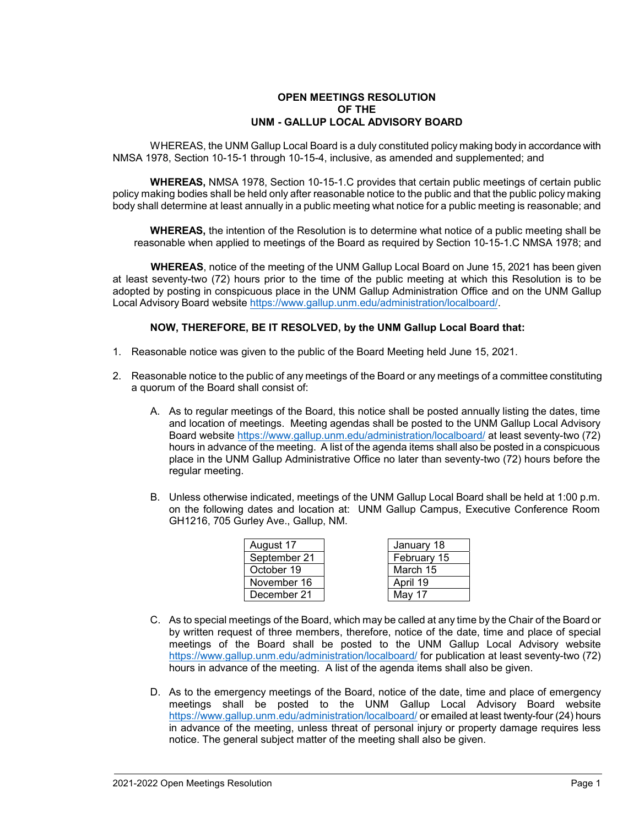## **OPEN MEETINGS RESOLUTION OF THE UNM - GALLUP LOCAL ADVISORY BOARD**

WHEREAS, the UNM Gallup Local Board is a duly constituted policy making body in accordance with NMSA 1978, Section 10-15-1 through 10-15-4, inclusive, as amended and supplemented; and

**WHEREAS,** NMSA 1978, Section 10-15-1.C provides that certain public meetings of certain public policy making bodies shall be held only after reasonable notice to the public and that the public policy making body shall determine at least annually in a public meeting what notice for a public meeting is reasonable; and

**WHEREAS,** the intention of the Resolution is to determine what notice of a public meeting shall be reasonable when applied to meetings of the Board as required by Section 10-15-1.C NMSA 1978; and

**WHEREAS**, notice of the meeting of the UNM Gallup Local Board on June 15, 2021 has been given at least seventy-two (72) hours prior to the time of the public meeting at which this Resolution is to be adopted by posting in conspicuous place in the UNM Gallup Administration Office and on the UNM Gallup Local Advisory Board website [https://www.gallup.unm.edu/administration/localboard/.](https://www.gallup.unm.edu/administration/localboard/)

## **NOW, THEREFORE, BE IT RESOLVED, by the UNM Gallup Local Board that:**

- 1. Reasonable notice was given to the public of the Board Meeting held June 15, 2021.
- 2. Reasonable notice to the public of any meetings of the Board or any meetings of a committee constituting a quorum of the Board shall consist of:
	- A. As to regular meetings of the Board, this notice shall be posted annually listing the dates, time and location of meetings. Meeting agendas shall be posted to the UNM Gallup Local Advisory Board website <https://www.gallup.unm.edu/administration/localboard/> at least seventy-two (72) hours in advance of the meeting. A list of the agenda items shall also be posted in a conspicuous place in the UNM Gallup Administrative Office no later than seventy-two (72) hours before the regular meeting.
	- B. Unless otherwise indicated, meetings of the UNM Gallup Local Board shall be held at 1:00 p.m. on the following dates and location at: UNM Gallup Campus, Executive Conference Room GH1216, 705 Gurley Ave., Gallup, NM.

| August 17    | January 18  |
|--------------|-------------|
| September 21 | February 15 |
| October 19   | March 15    |
| November 16  | April 19    |
| December 21  | May 17      |

- C. As to special meetings of the Board, which may be called at any time by the Chair of the Board or by written request of three members, therefore, notice of the date, time and place of special meetings of the Board shall be posted to the UNM Gallup Local Advisory website <https://www.gallup.unm.edu/administration/localboard/> for publication at least seventy-two (72) hours in advance of the meeting. A list of the agenda items shall also be given.
- D. As to the emergency meetings of the Board, notice of the date, time and place of emergency meetings shall be posted to the UNM Gallup Local Advisory Board website <https://www.gallup.unm.edu/administration/localboard/> or emailed at least twenty-four (24) hours in advance of the meeting, unless threat of personal injury or property damage requires less notice. The general subject matter of the meeting shall also be given.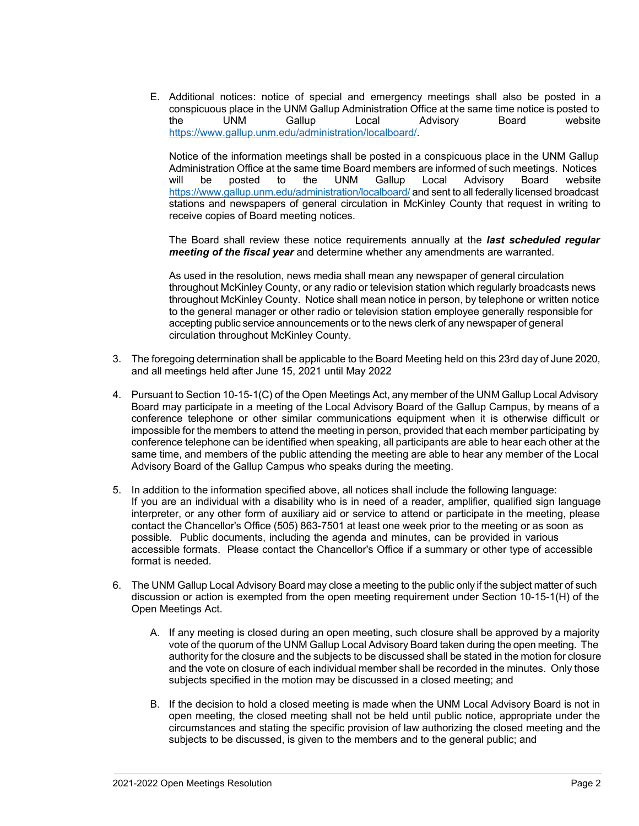E. Additional notices: notice of special and emergency meetings shall also be posted in a conspicuous place in the UNM Gallup Administration Office at the same time notice is posted to the UNM Gallup Local Advisory Board website [https://www.gallup.unm.edu/administration/localboard/.](https://www.gallup.unm.edu/administration/localboard/)

Notice of the information meetings shall be posted in a conspicuous place in the UNM Gallup Administration Office at the same time Board members are informed of such meetings. Notices will be posted to the UNM Gallup Local Advisory Board website <https://www.gallup.unm.edu/administration/localboard/> and sent to all federally licensed broadcast stations and newspapers of general circulation in McKinley County that request in writing to receive copies of Board meeting notices.

The Board shall review these notice requirements annually at the *last scheduled regular meeting of the fiscal year* and determine whether any amendments are warranted.

As used in the resolution, news media shall mean any newspaper of general circulation throughout McKinley County, or any radio or television station which regularly broadcasts news throughout McKinley County. Notice shall mean notice in person, by telephone or written notice to the general manager or other radio or television station employee generally responsible for accepting public service announcements or to the news clerk of any newspaper of general circulation throughout McKinley County.

- 3. The foregoing determination shall be applicable to the Board Meeting held on this 23rd day of June 2020, and all meetings held after June 15, 2021 until May 2022
- 4. Pursuant to Section 10-15-1(C) of the Open Meetings Act, any member of the UNM Gallup Local Advisory Board may participate in a meeting of the Local Advisory Board of the Gallup Campus, by means of a conference telephone or other similar communications equipment when it is otherwise difficult or impossible for the members to attend the meeting in person, provided that each member participating by conference telephone can be identified when speaking, all participants are able to hear each other at the same time, and members of the public attending the meeting are able to hear any member of the Local Advisory Board of the Gallup Campus who speaks during the meeting.
- 5. In addition to the information specified above, all notices shall include the following language: If you are an individual with a disability who is in need of a reader, amplifier, qualified sign language interpreter, or any other form of auxiliary aid or service to attend or participate in the meeting, please contact the Chancellor's Office (505) 863-7501 at least one week prior to the meeting or as soon as possible. Public documents, including the agenda and minutes, can be provided in various accessible formats. Please contact the Chancellor's Office if a summary or other type of accessible format is needed.
- 6. The UNM Gallup Local Advisory Board may close a meeting to the public only if the subject matter of such discussion or action is exempted from the open meeting requirement under Section 10-15-1(H) of the Open Meetings Act.
	- A. If any meeting is closed during an open meeting, such closure shall be approved by a majority vote of the quorum of the UNM Gallup Local Advisory Board taken during the open meeting. The authority for the closure and the subjects to be discussed shall be stated in the motion for closure and the vote on closure of each individual member shall be recorded in the minutes. Only those subjects specified in the motion may be discussed in a closed meeting; and
	- B. If the decision to hold a closed meeting is made when the UNM Local Advisory Board is not in open meeting, the closed meeting shall not be held until public notice, appropriate under the circumstances and stating the specific provision of law authorizing the closed meeting and the subjects to be discussed, is given to the members and to the general public; and